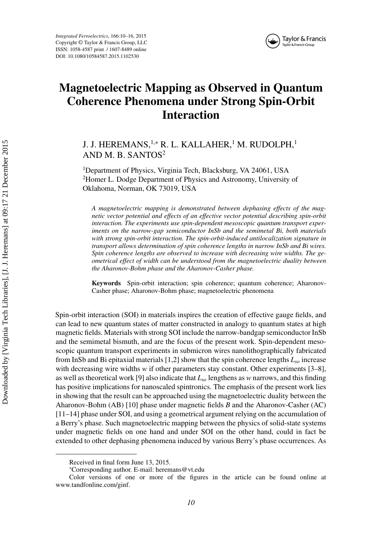*Integrated Ferroelectrics*, 166:10–16, 2015 Copyright © Taylor & Francis Group, LLC ISSN: 1058-4587 print / 1607-8489 online DOI: 10.1080/10584587.2015.1102530



## **Magnetoelectric Mapping as Observed in Quantum Coherence Phenomena under Strong Spin-Orbit Interaction**

J. J. HEREMANS,<sup>1,∗</sup> R. L. KALLAHER,<sup>1</sup> M. RUDOLPH,<sup>1</sup> AND M. B. SANTOS<sup>2</sup>

<sup>1</sup>Department of Physics, Virginia Tech, Blacksburg, VA 24061, USA <sup>2</sup>Homer L. Dodge Department of Physics and Astronomy, University of Oklahoma, Norman, OK 73019, USA

*A magnetoelectric mapping is demonstrated between dephasing effects of the magnetic vector potential and effects of an effective vector potential describing spin-orbit interaction. The experiments use spin-dependent mesoscopic quantum transport experiments on the narrow-gap semiconductor InSb and the semimetal Bi, both materials with strong spin-orbit interaction. The spin-orbit-induced antilocalization signature in transport allows determination of spin coherence lengths in narrow InSb and Bi wires. Spin coherence lengths are observed to increase with decreasing wire widths. The geometrical effect of width can be understood from the magnetoelectric duality between the Aharonov-Bohm phase and the Aharonov-Casher phase.*

**Keywords** Spin-orbit interaction; spin coherence; quantum coherence; Aharonov-Casher phase; Aharonov-Bohm phase; magnetoelectric phenomena

Spin-orbit interaction (SOI) in materials inspires the creation of effective gauge fields, and can lead to new quantum states of matter constructed in analogy to quantum states at high magnetic fields. Materials with strong SOI include the narrow-bandgap semiconductor InSb and the semimetal bismuth, and are the focus of the present work. Spin-dependent mesoscopic quantum transport experiments in submicron wires nanolithographically fabricated from InSb and Bi epitaxial materials [1,2] show that the spin coherence lengths *Lso* increase with decreasing wire widths *w* if other parameters stay constant. Other experiments [3–8], as well as theoretical work [9] also indicate that *Lso* lengthens as *w* narrows, and this finding has positive implications for nanoscaled spintronics. The emphasis of the present work lies in showing that the result can be approached using the magnetoelectric duality between the Aharonov-Bohm (AB) [10] phase under magnetic fields *B* and the Aharonov-Casher (AC) [11–14] phase under SOI, and using a geometrical argument relying on the accumulation of a Berry's phase. Such magnetoelectric mapping between the physics of solid-state systems under magnetic fields on one hand and under SOI on the other hand, could in fact be extended to other dephasing phenomena induced by various Berry's phase occurrences. As

Received in final form June 13, 2015.

<sup>∗</sup> Corresponding author. E-mail: heremans@vt.edu

Color versions of one or more of the figures in the article can be found online at www.tandfonline.com/ginf.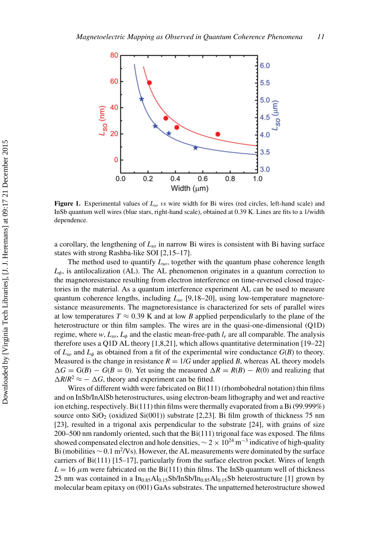

**Figure 1.** Experimental values of *Lso vs* wire width for Bi wires (red circles, left-hand scale) and InSb quantum well wires (blue stars, right-hand scale), obtained at 0.39 K. Lines are fits to a 1/width dependence.

a corollary, the lengthening of *Lso* in narrow Bi wires is consistent with Bi having surface states with strong Rashba-like SOI [2,15–17].

The method used to quantify *Lso*, together with the quantum phase coherence length  $L_{\phi}$ , is antilocalization (AL). The AL phenomenon originates in a quantum correction to the magnetoresistance resulting from electron interference on time-reversed closed trajectories in the material. As a quantum interference experiment AL can be used to measure quantum coherence lengths, including *Lso* [9,18–20], using low-temperature magnetoresistance measurements. The magnetoresistance is characterized for sets of parallel wires at low temperatures  $T \approx 0.39$  K and at low *B* applied perpendicularly to the plane of the heterostructure or thin film samples. The wires are in the quasi-one-dimensional (Q1D) regime, where  $w$ ,  $L_{so}$ ,  $L_{\phi}$  and the elastic mean-free-path  $l_e$  are all comparable. The analysis therefore uses a Q1D AL theory [1,8,21], which allows quantitative determination [19–22] of  $L_{so}$  and  $L_{\phi}$  as obtained from a fit of the experimental wire conductance  $G(B)$  to theory. Measured is the change in resistance  $R = 1/G$  under applied *B*, whereas AL theory models  $\Delta G = G(B) - G(B = 0)$ . Yet using the measured  $\Delta R = R(B) - R(0)$  and realizing that  $\Delta R/R^2 \approx -\Delta G$ , theory and experiment can be fitted.

Wires of different width were fabricated on Bi(111) (rhombohedral notation) thin films and on InSb/InAlSb heterostructures, using electron-beam lithography and wet and reactive ion etching, respectively. Bi(111) thin films were thermally evaporated from a Bi (99.999%) source onto  $SiO<sub>2</sub>$  (oxidized  $Si(001)$ ) substrate [2,23]. Bi film growth of thickness 75 nm [23], resulted in a trigonal axis perpendicular to the substrate [24], with grains of size 200–500 nm randomly oriented, such that the Bi(111) trigonal face was exposed. The films showed compensated electron and hole densities,  $\sim$  2  $\times$  10<sup>24</sup> m<sup>-3</sup> indicative of high-quality Bi (mobilities  $\sim 0.1 \text{ m}^2/\text{Vs}$ ). However, the AL measurements were dominated by the surface carriers of Bi(111) [15–17], particularly from the surface electron pocket. Wires of length  $L = 16 \mu$ m were fabricated on the Bi(111) thin films. The InSb quantum well of thickness 25 nm was contained in a  $In_{0.85}Al_{0.15}Sb/InSb/In_{0.85}Al_{0.15}Sb$  heterostructure [1] grown by molecular beam epitaxy on (001) GaAs substrates. The unpatterned heterostructure showed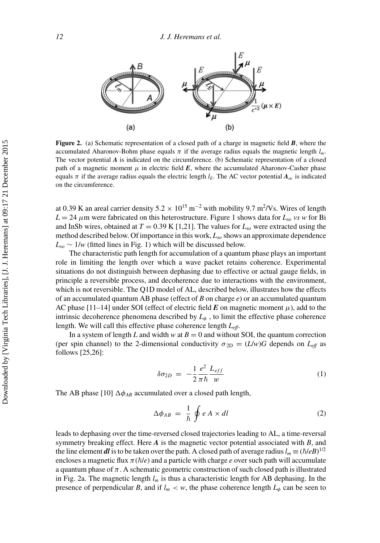

**Figure 2.** (a) Schematic representation of a closed path of a charge in magnetic field **B**, where the accumulated Aharonov-Bohm phase equals  $\pi$  if the average radius equals the magnetic length  $l_m$ . The vector potential *A* is indicated on the circumference. (b) Schematic representation of a closed path of a magnetic moment  $\mu$  in electric field  $\bm{E}$ , where the accumulated Aharonov-Casher phase equals *π* if the average radius equals the electric length  $l<sub>E</sub>$ . The AC vector potential  $A<sub>ac</sub>$  is indicated on the circumference.

at 0.39 K an areal carrier density  $5.2 \times 10^{15}$  m<sup>-2</sup> with mobility 9.7 m<sup>2</sup>/Vs. Wires of length  $L = 24 \mu$ m were fabricated on this heterostructure. Figure 1 shows data for  $L_{so}$  *vs w* for Bi and InSb wires, obtained at  $T = 0.39 \text{ K } [1,21]$ . The values for  $L_{so}$  were extracted using the method described below. Of importance in this work, *Lso* shows an approximate dependence *Lso* ∼ 1/*w* (fitted lines in Fig. 1) which will be discussed below.

The characteristic path length for accumulation of a quantum phase plays an important role in limiting the length over which a wave packet retains coherence. Experimental situations do not distinguish between dephasing due to effective or actual gauge fields, in principle a reversible process, and decoherence due to interactions with the environment, which is not reversible. The Q1D model of AL, described below, illustrates how the effects of an accumulated quantum AB phase (effect of *B* on charge *e*) or an accumulated quantum AC phase  $[11-14]$  under SOI (effect of electric field *E* on magnetic moment  $\mu$ ), add to the intrinsic decoherence phenomena described by  $L_{\phi}$ , to limit the effective phase coherence length. We will call this effective phase coherence length *Leff*.

In a system of length *L* and width *w* at  $B = 0$  and without SOI, the quantum correction (per spin channel) to the 2-dimensional conductivity  $\sigma_{2D} = (L/w)G$  depends on  $L_{eff}$  as follows [25,26]:

$$
\delta \sigma_{2D} = -\frac{1}{2} \frac{e^2}{\pi \hbar} \frac{L_{eff}}{w} \tag{1}
$$

The AB phase [10]  $\Delta \phi_{AB}$  accumulated over a closed path length,

$$
\Delta \phi_{AB} = \frac{1}{\hbar} \oint e \, A \times dl \tag{2}
$$

leads to dephasing over the time-reversed closed trajectories leading to AL, a time-reversal symmetry breaking effect. Here *A* is the magnetic vector potential associated with *B*, and the line element *dl* is to be taken over the path. A closed path of average radius  $l_m \equiv (\hbar/eB)^{1/2}$ encloses a magnetic flux  $\pi(\hbar/e)$  and a particle with charge *e* over such path will accumulate a quantum phase of  $\pi$ . A schematic geometric construction of such closed path is illustrated in Fig. 2a. The magnetic length *lm* is thus a characteristic length for AB dephasing. In the presence of perpendicular *B*, and if  $l_m < w$ , the phase coherence length  $L_{\phi}$  can be seen to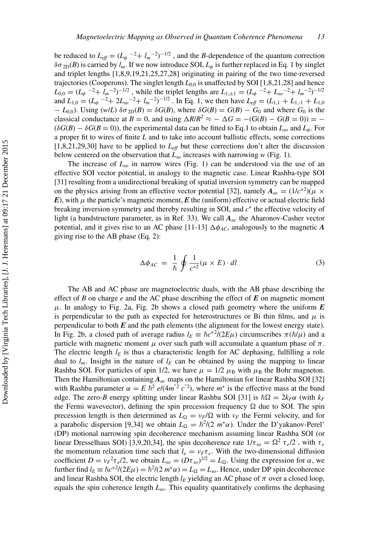be reduced to  $L_{\text{eff}} = (L_{\phi}^{-2} + l_m^{-2})^{-1/2}$ , and the *B*-dependence of the quantum correction  $\delta\sigma_{2D}(B)$  is carried by  $l_m$ . If we now introduce SOI,  $L_\phi$  is further replaced in Eq. 1 by singlet and triplet lengths [1,8,9,19,21,25,27,28] originating in pairing of the two time-reversed trajectories (Cooperons). The singlet length  $L_{0,0}$  is unaffected by SOI [1,8,21,28] and hence  $L_{0,0} = (L_{\phi}^{-2} + l_m^{-2})^{-1/2}$ , while the triplet lengths are  $L_{1,\pm 1} = (L_{\phi}^{-2} + L_{so}^{-2} + l_m^{-2})^{-1/2}$ and  $L_{1,0} = (L_{\phi}^{-2} + 2L_{so}^{-2} + l_m^{-2})^{-1/2}$ . In Eq. 1, we then have  $L_{eff} = (L_{1,1} + L_{1,-1} + L_{1,0})$  $-L_{0,0}$ ). Using (*w*/*L*)  $\delta \sigma_{2D}(B) = \delta G(B)$ , where  $\delta G(B) = G(B) - G_0$  and where  $G_0$  is the classical conductance at *B* = 0, and using  $\Delta R/R^2 \approx -\Delta G = -(G(B) - G(B = 0)) = (\delta G(B) - \delta G(B = 0))$ , the experimental data can be fitted to Eq.1 to obtain  $L_{so}$  and  $L_{\phi}$ . For a proper fit to wires of finite *L* and to take into account ballistic effects, some corrections  $[1,8,21,29,30]$  have to be applied to  $L_{\text{eff}}$  but these corrections don't alter the discussion below centered on the observation that  $\hat{L}_{so}$  increases with narrowing *w* (Fig. 1).

The increase of  $L_{so}$  in narrow wires (Fig. 1) can be understood via the use of an effective SOI vector potential, in analogy to the magnetic case. Linear Rashba-type SOI [31] resulting from a unidirectional breaking of spatial inversion symmetry can be mapped on the physics arising from an effective vector potential [32], namely  $A_{ac} = (1/c^{*2})(\mu \times$ *E*), with  $\mu$  the particle's magnetic moment, *E* the (uniform) effective or actual electric field breaking inversion symmetry and thereby resulting in SOI, and *c*<sup>∗</sup> the effective velocity of light (a bandstructure parameter, as in Ref. 33). We call *Aac* the Aharonov-Casher vector potential, and it gives rise to an AC phase  $[11-13]$   $\Delta \phi_{AC}$ , analogously to the magnetic *A* giving rise to the AB phase (Eq. 2):

$$
\Delta \phi_{AC} = \frac{1}{\hbar} \oint \frac{1}{c^{*2}} (\mu \times E) \cdot dl \tag{3}
$$

The AB and AC phase are magnetoelectric duals, with the AB phase describing the effect of *B* on charge  $e$  and the AC phase describing the effect of  $E$  on magnetic moment  $\mu$ . In analogy to Fig. 2a, Fig. 2b shows a closed path geometry where the uniform  $\bm{E}$ is perpendicular to the path as expected for heterostructures or Bi thin films, and  $\mu$  is perpendicular to both  $E$  and the path elements (the alignment for the lowest energy state). In Fig. 2b, a closed path of average radius  $l_E \equiv \hbar c^{*2}/(2E\mu)$  circumscribes  $\pi(\hbar/\mu)$  and a particle with magnetic moment  $\mu$  over such path will accumulate a quantum phase of  $\pi$ . The electric length  $l_E$  is thus a characteristic length for AC dephasing, fulfilling a role dual to  $l_m$ . Insight in the nature of  $l_E$  can be obtained by using the mapping to linear Rashba SOI. For particles of spin 1/2, we have  $\mu = 1/2$   $\mu_B$  with  $\mu_B$  the Bohr magneton. Then the Hamiltonian containing  $A_{ac}$  maps on the Hamiltonian for linear Rashba SOI [32] with Rashba parameter  $\alpha = E \bar{h}^2 e/(4m^*2 c^*)$ , where  $m^*$  is the effective mass at the band edge. The zero-*B* energy splitting under linear Rashba SOI [31] is  $\hbar\Omega = 2k_F\alpha$  (with  $k_F$ the Fermi wavevector), defining the spin precession frequency  $\Omega$  due to SOI. The spin precession length is then determined as  $L_{\Omega} = v_F/\Omega$  with  $v_F$  the Fermi velocity, and for a parabolic dispersion [9,34] we obtain  $L_{\Omega} = \hbar^2/(2 m^* \alpha)$ . Under the D'yakanov-Perel' (DP) motional narrowing spin decoherence mechanism assuming linear Rashba SOI (or linear Dresselhaus SOI) [3,9,20,34], the spin decoherence rate  $1/\tau_{so} = \Omega^2 \tau_e/2$ , with  $\tau_e$ the momentum relaxation time such that  $l_e = v_F \tau_e$ . With the two-dimensional diffusion coefficient  $D = v_F^2 \tau_e/2$ , we obtain  $L_{so} = (D \tau_{so})^{1/2} = L_{\Omega}$ . Using the expression for  $\alpha$ , we further find  $l_E \equiv \hbar c^{*2}/(2E\mu) = \hbar^2/(2 m^* \alpha) = L_{\Omega} = L_{so}$ . Hence, under DP spin decoherence and linear Rashba SOI, the electric length  $l_E$  yielding an AC phase of  $\pi$  over a closed loop, equals the spin coherence length *Lso*. This equality quantitatively confirms the dephasing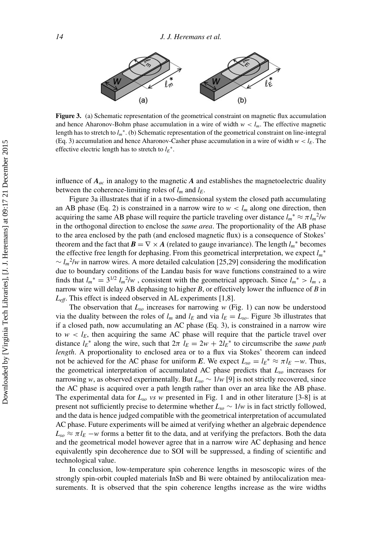

**Figure 3.** (a) Schematic representation of the geometrical constraint on magnetic flux accumulation and hence Aharonov-Bohm phase accumulation in a wire of width  $w < l_m$ . The effective magnetic length has to stretch to *lm*∗. (b) Schematic representation of the geometrical constraint on line-integral (Eq. 3) accumulation and hence Aharonov-Casher phase accumulation in a wire of width  $w < l_E$ . The effective electric length has to stretch to  $l_E^*$ .

influence of  $A_{ac}$  in analogy to the magnetic  $A$  and establishes the magnetoelectric duality between the coherence-limiting roles of  $l_m$  and  $l_E$ .

Figure 3a illustrates that if in a two-dimensional system the closed path accumulating an AB phase (Eq. 2) is constrained in a narrow wire to  $w < l_m$  along one direction, then acquiring the same AB phase will require the particle traveling over distance  $l_m^* \approx \pi l_m^2/w$ in the orthogonal direction to enclose the *same area*. The proportionality of the AB phase to the area enclosed by the path (and enclosed magnetic flux) is a consequence of Stokes' theorem and the fact that  $\mathbf{B} = \nabla \times \mathbf{A}$  (related to gauge invariance). The length  $l_m^*$  becomes the effective free length for dephasing. From this geometrical interpretation, we expect *lm*<sup>∗</sup>  $\sim l_m^2/w$  in narrow wires. A more detailed calculation [25,29] considering the modification due to boundary conditions of the Landau basis for wave functions constrained to a wire finds that  $l_m^* = 3^{1/2} l_m^2/w$ , consistent with the geometrical approach. Since  $l_m^* > l_m$ , a narrow wire will delay AB dephasing to higher *B*, or effectively lower the influence of *B* in  $L_{\text{eff}}$ . This effect is indeed observed in AL experiments [1,8].

The observation that  $L_{so}$  increases for narrowing  $w$  (Fig. 1) can now be understood via the duality between the roles of  $l_m$  and  $l_E$  and via  $l_E = L_{so}$ . Figure 3b illustrates that if a closed path, now accumulating an AC phase (Eq. 3), is constrained in a narrow wire to  $w < l_E$ , then acquiring the same AC phase will require that the particle travel over distance  $l_E^*$  along the wire, such that  $2\pi \hat{l}_E = 2w + 2\hat{l}_E^*$  to circumscribe the *same path length*. A proportionality to enclosed area or to a flux via Stokes' theorem can indeed not be achieved for the AC phase for uniform *E*. We expect  $L_{so} = l_E^* \approx \pi l_E - w$ . Thus, the geometrical interpretation of accumulated AC phase predicts that *Lso* increases for narrowing *w*, as observed experimentally. But  $L_{so} \sim 1/w$  [9] is not strictly recovered, since the AC phase is acquired over a path length rather than over an area like the AB phase. The experimental data for *Lso vs w* presented in Fig. 1 and in other literature [3-8] is at present not sufficiently precise to determine whether  $L_{so} \sim 1/w$  is in fact strictly followed, and the data is hence judged compatible with the geometrical interpretation of accumulated AC phase. Future experiments will be aimed at verifying whether an algebraic dependence  $L_{so} \approx \pi l_E - w$  forms a better fit to the data, and at verifying the prefactors. Both the data and the geometrical model however agree that in a narrow wire AC dephasing and hence equivalently spin decoherence due to SOI will be suppressed, a finding of scientific and technological value.

In conclusion, low-temperature spin coherence lengths in mesoscopic wires of the strongly spin-orbit coupled materials InSb and Bi were obtained by antilocalization measurements. It is observed that the spin coherence lengths increase as the wire widths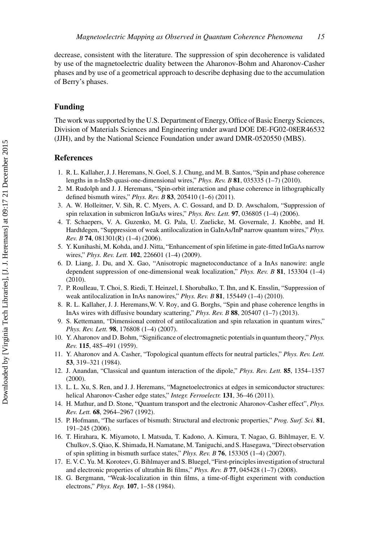decrease, consistent with the literature. The suppression of spin decoherence is validated by use of the magnetoelectric duality between the Aharonov-Bohm and Aharonov-Casher phases and by use of a geometrical approach to describe dephasing due to the accumulation of Berry's phases.

## **Funding**

The work was supported by the U.S. Department of Energy, Office of Basic Energy Sciences, Division of Materials Sciences and Engineering under award DOE DE-FG02-08ER46532 (JJH), and by the National Science Foundation under award DMR-0520550 (MBS).

## **References**

- 1. R. L. Kallaher, J. J. Heremans, N. Goel, S. J. Chung, and M. B. Santos, "Spin and phase coherence lengths in n-InSb quasi-one-dimensional wires," *Phys. Rev. B* **81**, 035335 (1–7) (2010).
- 2. M. Rudolph and J. J. Heremans, "Spin-orbit interaction and phase coherence in lithographically defined bismuth wires," *Phys. Rev. B* **83**, 205410 (1–6) (2011).
- 3. A. W. Holleitner, V. Sih, R. C. Myers, A. C. Gossard, and D. D. Awschalom, "Suppression of spin relaxation in submicron InGaAs wires," *Phys. Rev. Lett.* **97**, 036805 (1–4) (2006).
- 4. T. Schaepers, V. A. Guzenko, M. G. Pala, U. Zuelicke, M. Governale, J. Knobbe, and H. Hardtdegen, "Suppression of weak antilocalization in GaInAs/InP narrow quantum wires," *Phys. Rev. B* **74**, 081301(R) (1–4) (2006).
- 5. Y. Kunihashi, M. Kohda, and J. Nitta, "Enhancement of spin lifetime in gate-fitted InGaAs narrow wires," *Phys. Rev. Lett.* **102**, 226601 (1–4) (2009).
- 6. D. Liang, J. Du, and X. Gao, "Anisotropic magnetoconductance of a InAs nanowire: angle dependent suppression of one-dimensional weak localization," *Phys. Rev. B* **81**, 153304 (1–4) (2010).
- 7. P. Roulleau, T. Choi, S. Riedi, T. Heinzel, I. Shorubalko, T. Ihn, and K. Ensslin, "Suppression of weak antilocalization in InAs nanowires," *Phys. Rev. B* **81**, 155449 (1–4) (2010).
- 8. R. L. Kallaher, J. J. Heremans,W. V. Roy, and G. Borghs, "Spin and phase coherence lengths in InAs wires with diffusive boundary scattering," *Phys. Rev. B* **88**, 205407 (1–7) (2013).
- 9. S. Kettemann, "Dimensional control of antilocalization and spin relaxation in quantum wires," *Phys. Rev. Lett.* **98**, 176808 (1–4) (2007).
- 10. Y. Aharonov and D. Bohm, "Significance of electromagnetic potentials in quantum theory," *Phys. Rev.* **115**, 485–491 (1959).
- 11. Y. Aharonov and A. Casher, "Topological quantum effects for neutral particles," *Phys. Rev. Lett.* **53**, 319–321 (1984).
- 12. J. Anandan, "Classical and quantum interaction of the dipole," *Phys. Rev. Lett.* **85**, 1354–1357 (2000).
- 13. L. L. Xu, S. Ren, and J. J. Heremans, "Magnetoelectronics at edges in semiconductor structures: helical Aharonov-Casher edge states," *Integr. Ferroelectr.* **131**, 36–46 (2011).
- 14. H. Mathur, and D. Stone, "Quantum transport and the electronic Aharonov-Casher effect", *Phys. Rev. Lett.* **68**, 2964–2967 (1992).
- 15. P. Hofmann, "The surfaces of bismuth: Structural and electronic properties," *Prog. Surf. Sci.* **81**, 191–245 (2006).
- 16. T. Hirahara, K. Miyamoto, I. Matsuda, T. Kadono, A. Kimura, T. Nagao, G. Bihlmayer, E. V. Chulkov, S. Qiao, K. Shimada, H. Namatane, M. Taniguchi, and S. Hasegawa, "Direct observation of spin splitting in bismuth surface states," *Phys. Rev. B* **76**, 153305 (1–4) (2007).
- 17. E. V. C. Yu. M. Koroteev, G. Bihlmayer and S. Bluegel, "First-principles investigation of structural and electronic properties of ultrathin Bi films," *Phys. Rev. B* **77**, 045428 (1–7) (2008).
- 18. G. Bergmann, "Weak-localization in thin films, a time-of-flight experiment with conduction electrons," *Phys. Rep.* **107**, 1–58 (1984).